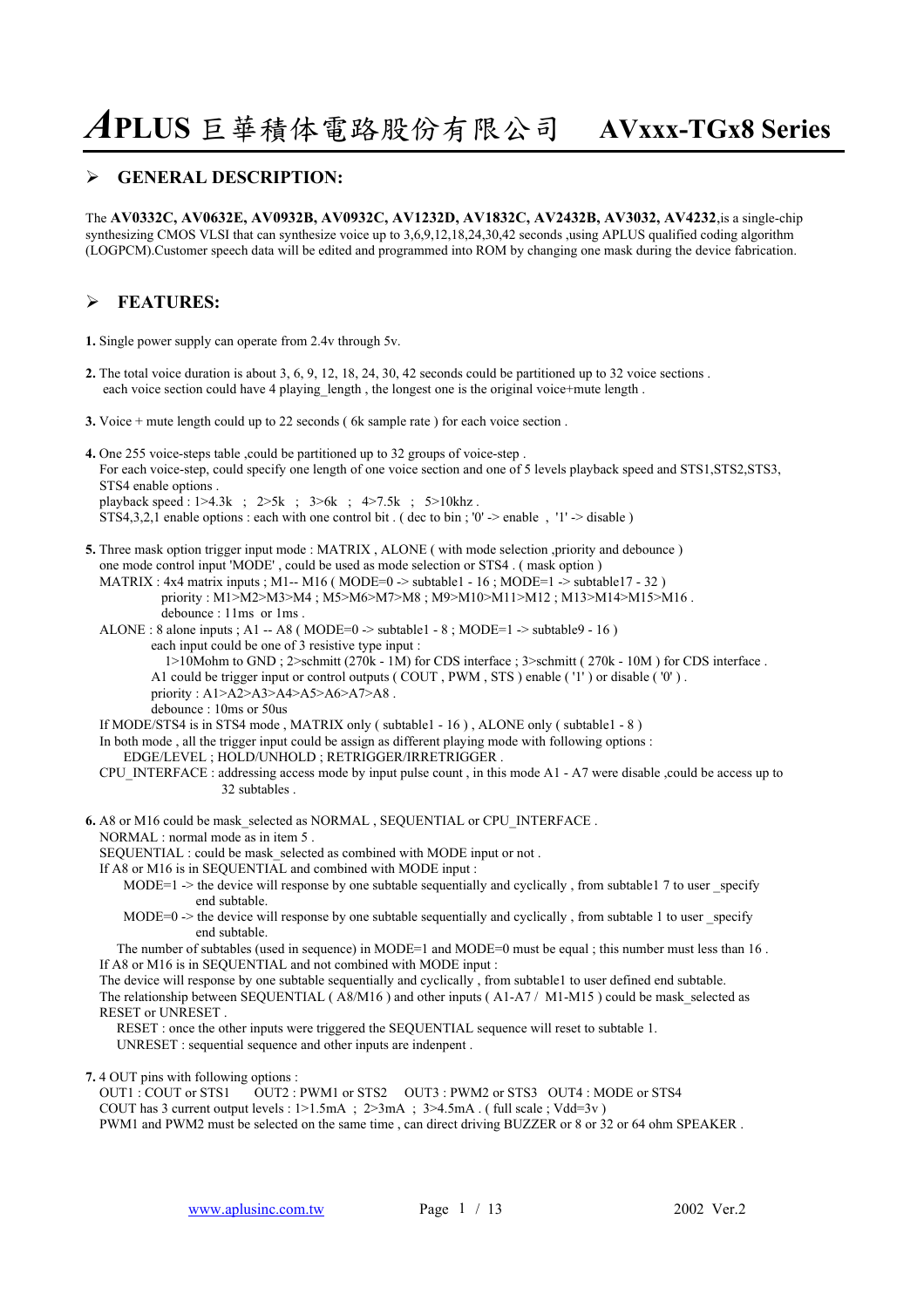#### ¾ **GENERAL DESCRIPTION:**

The **AV0332C, AV0632E, AV0932B, AV0932C, AV1232D, AV1832C, AV2432B, AV3032, AV4232**,is a single-chip synthesizing CMOS VLSI that can synthesize voice up to 3,6,9,12,18,24,30,42 seconds ,using APLUS qualified coding algorithm (LOGPCM).Customer speech data will be edited and programmed into ROM by changing one mask during the device fabrication.

### ¾ **FEATURES:**

**1.** Single power supply can operate from 2.4v through 5v.

- **2.** The total voice duration is about 3, 6, 9, 12, 18, 24, 30, 42 seconds could be partitioned up to 32 voice sections . each voice section could have 4 playing length , the longest one is the original voice+mute length .
- **3.** Voice + mute length could up to 22 seconds ( 6k sample rate ) for each voice section .
- **4.** One 255 voice-steps table ,could be partitioned up to 32 groups of voice-step . For each voice-step, could specify one length of one voice section and one of 5 levels playback speed and STS1,STS2,STS3, STS4 enable options . playback speed : 1>4.3k ; 2>5k ; 3>6k ; 4>7.5k ; 5>10khz . STS4,3,2,1 enable options : each with one control bit . ( dec to bin ; '0' -> enable , '1' -> disable )
- **5.** Three mask option trigger input mode : MATRIX , ALONE ( with mode selection ,priority and debounce ) one mode control input 'MODE' , could be used as mode selection or STS4 . ( mask option )
	- MATRIX : 4x4 matrix inputs ; M1-- M16 (MODE=0 -> subtable1 16 ; MODE=1 -> subtable17 32) priority : M1>M2>M3>M4 ; M5>M6>M7>M8 ; M9>M10>M11>M12 ; M13>M14>M15>M16 . debounce : 11ms or 1ms .
	- ALONE : 8 alone inputs ; A1 -- A8 (MODE=0 -> subtable1 8 ; MODE=1 -> subtable9 16 ) each input could be one of 3 resistive type input :
		- 1>10Mohm to GND ; 2>schmitt (270k 1M) for CDS interface ; 3>schmitt ( 270k 10M ) for CDS interface .
		- A1 could be trigger input or control outputs ( COUT , PWM , STS ) enable ( '1' ) or disable ( '0' ) .
		- priority : A1>A2>A3>A4>A5>A6>A7>A8 .

debounce : 10ms or 50us

If MODE/STS4 is in STS4 mode , MATRIX only ( subtable1 - 16 ) , ALONE only ( subtable1 - 8 )

- In both mode , all the trigger input could be assign as different playing mode with following options :
	- EDGE/LEVEL ; HOLD/UNHOLD ; RETRIGGER/IRRETRIGGER .
- CPU\_INTERFACE : addressing access mode by input pulse count , in this mode A1 A7 were disable ,could be access up to 32 subtables .
- **6.** A8 or M16 could be mask\_selected as NORMAL , SEQUENTIAL or CPU\_INTERFACE . NORMAL : normal mode as in item 5 .
	-
	- SEQUENTIAL : could be mask\_selected as combined with MODE input or not .
	- If A8 or M16 is in SEQUENTIAL and combined with MODE input :
		- MODE=1  $\rightarrow$  the device will response by one subtable sequentially and cyclically, from subtable1 7 to user specify end subtable.
		- MODE=0  $\rightarrow$  the device will response by one subtable sequentially and cyclically, from subtable 1 to user specify end subtable.
	- The number of subtables (used in sequence) in MODE=1 and MODE=0 must be equal ; this number must less than 16. If A8 or M16 is in SEQUENTIAL and not combined with MODE input :
	- The device will response by one subtable sequentially and cyclically , from subtable1 to user defined end subtable. The relationship between SEQUENTIAL (A8/M16) and other inputs (A1-A7 / M1-M15) could be mask selected as RESET or UNRESET .

 RESET : once the other inputs were triggered the SEQUENTIAL sequence will reset to subtable 1. UNRESET : sequential sequence and other inputs are indenpent .

**7.** 4 OUT pins with following options :

 OUT1 : COUT or STS1 OUT2 : PWM1 or STS2 OUT3 : PWM2 or STS3 OUT4 : MODE or STS4 COUT has 3 current output levels : 1>1.5mA ; 2>3mA ; 3>4.5mA . ( full scale ; Vdd=3v ) PWM1 and PWM2 must be selected on the same time , can direct driving BUZZER or 8 or 32 or 64 ohm SPEAKER .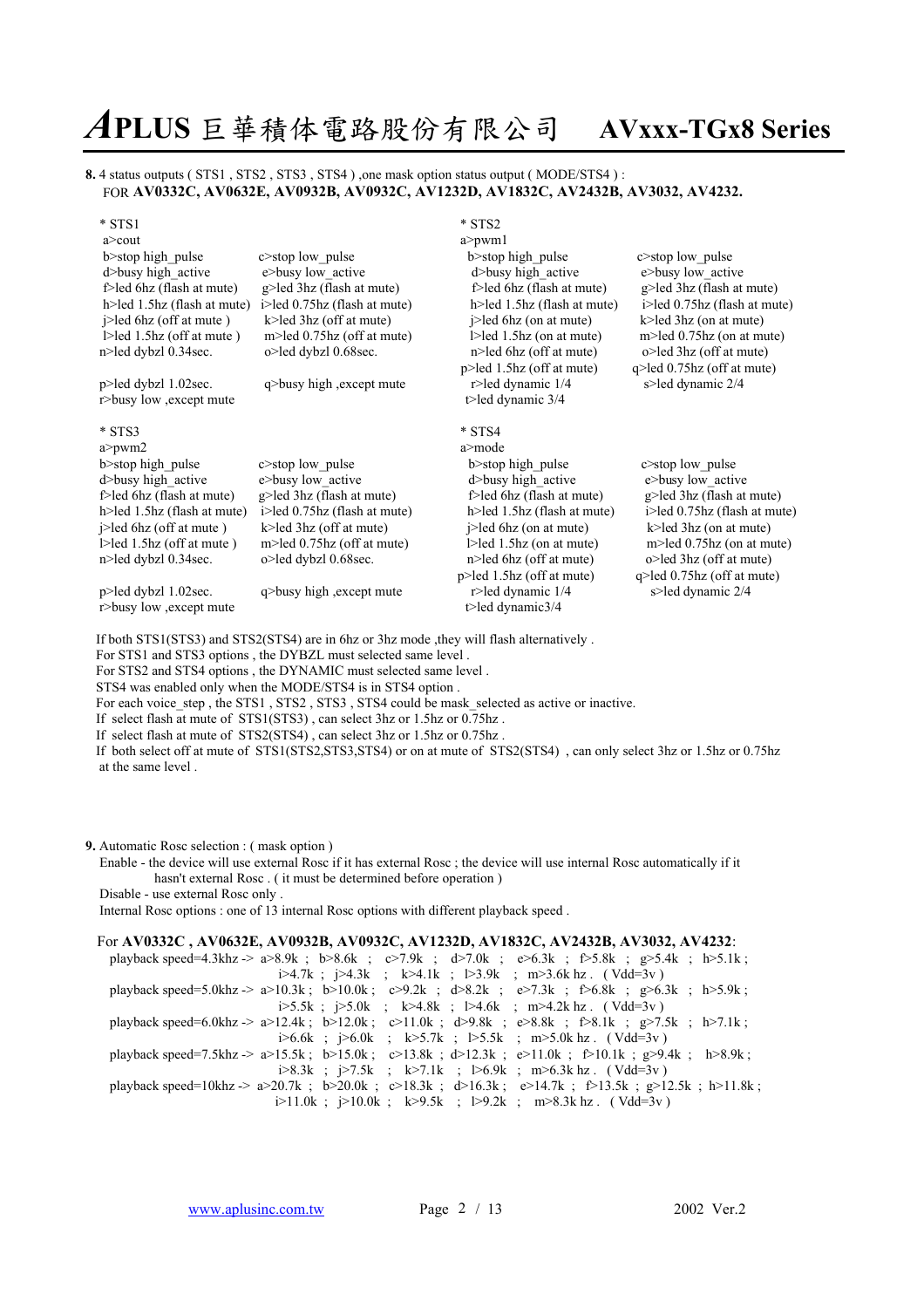#### **8.** 4 status outputs ( STS1 , STS2 , STS3 , STS4 ) ,one mask option status output ( MODE/STS4 ) : FOR **AV0332C, AV0632E, AV0932B, AV0932C, AV1232D, AV1832C, AV2432B, AV3032, AV4232.**

| $*$ STS1                                                              | $*$ STS2                             |                                |
|-----------------------------------------------------------------------|--------------------------------------|--------------------------------|
| $a$ cout                                                              | $a$ >pwm $1$                         |                                |
| b>stop high pulse<br>$c$ stop low pulse                               | b>stop high pulse                    | $c$ >stop low pulse            |
| d>busy high active<br>e>busy low active                               | d>busy high active                   | e>busy low_active              |
| f>led 6hz (flash at mute)<br>g>led 3hz (flash at mute)                | f>led 6hz (flash at mute)            | g>led 3hz (flash at mute)      |
| h>led 1.5hz (flash at mute)<br>i>led 0.75hz (flash at mute)           | h>led 1.5hz (flash at mute)          | i>led 0.75hz (flash at mute)   |
| j>led 6hz (off at mute)<br>$k$ led 3hz (off at mute)                  | $i$ -led 6hz (on at mute)            | $k$ -led 3hz (on at mute)      |
| $1 > led$ 1.5hz (off at mute)<br>$m$ led 0.75 $hz$ (off at mute)      | $1 > led$ 1.5hz (on at mute)         | m>led 0.75hz (on at mute)      |
| n>led dybzl 0.34sec.<br>o>led dybzl 0.68sec.                          | n>led 6hz (off at mute)              | o>led 3hz (off at mute)        |
|                                                                       | p>led 1.5hz (off at mute)            | q>led 0.75hz (off at mute)     |
| q>busy high , except mute<br>$p$ >led dybzl 1.02sec.                  | r>led dynamic 1/4                    | s>led dynamic 2/4              |
| r>busy low , except mute                                              | t>led dynamic $3/4$                  |                                |
| $*$ STS3                                                              | $*$ STS4                             |                                |
| $a$ >pwm $2$                                                          | a>mode                               |                                |
|                                                                       |                                      |                                |
| b>stop high pulse<br>$c$ stop low pulse                               | b > stop high pulse                  | c>stop low pulse               |
| d>busy high active<br>e>busy low active                               | d>busy high active                   | e>busy low active              |
| f>led 6hz (flash at mute)<br>g>led 3hz (flash at mute)                | f>led 6hz (flash at mute)            | g>led 3hz (flash at mute)      |
| $h$ >led 1.5hz (flash at mute)<br>$i$ >led 0.75hz (flash at mute)     | $h$ >led 1.5hz (flash at mute)       | i>led 0.75hz (flash at mute)   |
| $i$ -led 6hz (off at mute)<br>$k$ -led 3hz (off at mute)              | $i$ -led 6hz (on at mute)            | $k$ -led 3hz (on at mute)      |
| $\geq$ led 1.5hz (off at mute)<br>m>led $0.75\text{hz}$ (off at mute) | $1 >$ led $1.5$ hz (on at mute)      | $m$ led 0.75 $hz$ (on at mute) |
| n>led dybzl 0.34sec.<br>o>led dybzl 0.68sec.                          | $n$ in $\geq$ led 6 hz (off at mute) | $o$ >led 3hz (off at mute)     |
|                                                                       | p>led 1.5hz (off at mute)            | $q$ >led 0.75hz (off at mute)  |
| p>led dybzl 1.02sec.<br>q>busy high , except mute                     | r>led dynamic $1/4$                  | s>led dynamic 2/4              |
| r>busy low , except mute                                              | t>led dynamic $3/4$                  |                                |

If both STS1(STS3) and STS2(STS4) are in 6hz or 3hz mode ,they will flash alternatively .

For STS1 and STS3 options , the DYBZL must selected same level .

For STS2 and STS4 options , the DYNAMIC must selected same level .

STS4 was enabled only when the MODE/STS4 is in STS4 option .

For each voice step , the STS1 , STS2 , STS3 , STS4 could be mask selected as active or inactive.

 If select flash at mute of STS1(STS3) , can select 3hz or 1.5hz or 0.75hz . If select flash at mute of STS2(STS4) , can select 3hz or 1.5hz or 0.75hz .

If both select off at mute of STS1(STS2,STS3,STS4) or on at mute of STS2(STS4) , can only select 3hz or 1.5hz or 0.75hz at the same level .

**9.** Automatic Rosc selection : ( mask option )

 Enable - the device will use external Rosc if it has external Rosc ; the device will use internal Rosc automatically if it hasn't external Rosc . ( it must be determined before operation )

Disable - use external Rosc only .

Internal Rosc options : one of 13 internal Rosc options with different playback speed .

#### For **AV0332C , AV0632E, AV0932B, AV0932C, AV1232D, AV1832C, AV2432B, AV3032, AV4232**:

 playback speed=4.3khz -> a>8.9k ; b>8.6k ; c>7.9k ; d>7.0k ; e>6.3k ; f>5.8k ; g>5.4k ; h>5.1k ; i>4.7k ; j>4.3k ; k>4.1k ; l>3.9k ; m>3.6k hz . (Vdd=3v) playback speed=5.0khz  $\ge 2$  a>10.3k; b>10.0k; c>9.2k; d>8.2k; e>7.3k; f>6.8k; g>6.3k; h>5.9k; i $>5.5k$ ;  $\geq 5.0k$ ;  $k > 4.8k$ ;  $\geq 4.6k$ ; m $>4.2k$  hz. (Vdd=3v) playback speed=6.0khz -> a>12.4k ; b>12.0k ; c>11.0k ; d>9.8k ; e>8.8k ; f>8.1k ; g>7.5k ; h>7.1k ; i>6.6k ; j>6.0k ; k>5.7k ; l>5.5k ; m>5.0k hz . ( Vdd=3v ) playback speed=7.5khz -> a>15.5k ; b>15.0k ; c>13.8k ; d>12.3k ; e>11.0k ; f>10.1k ; g>9.4k ; h>8.9k ; i>8.3k ; j>7.5k ; k>7.1k ; l>6.9k ; m>6.3k hz . ( Vdd=3v ) playback speed=10khz  $> a$  > 20.7k ; b>20.0k ; c>18.3k ; d>16.3k ; e>14.7k ; f>13.5k ; g>12.5k ; h>11.8k ;  $i>11.0k$ ;  $i>10.0k$ ;  $k>9.5k$ ;  $l>9.2k$ ; m $>8.3k$  hz. (Vdd=3v)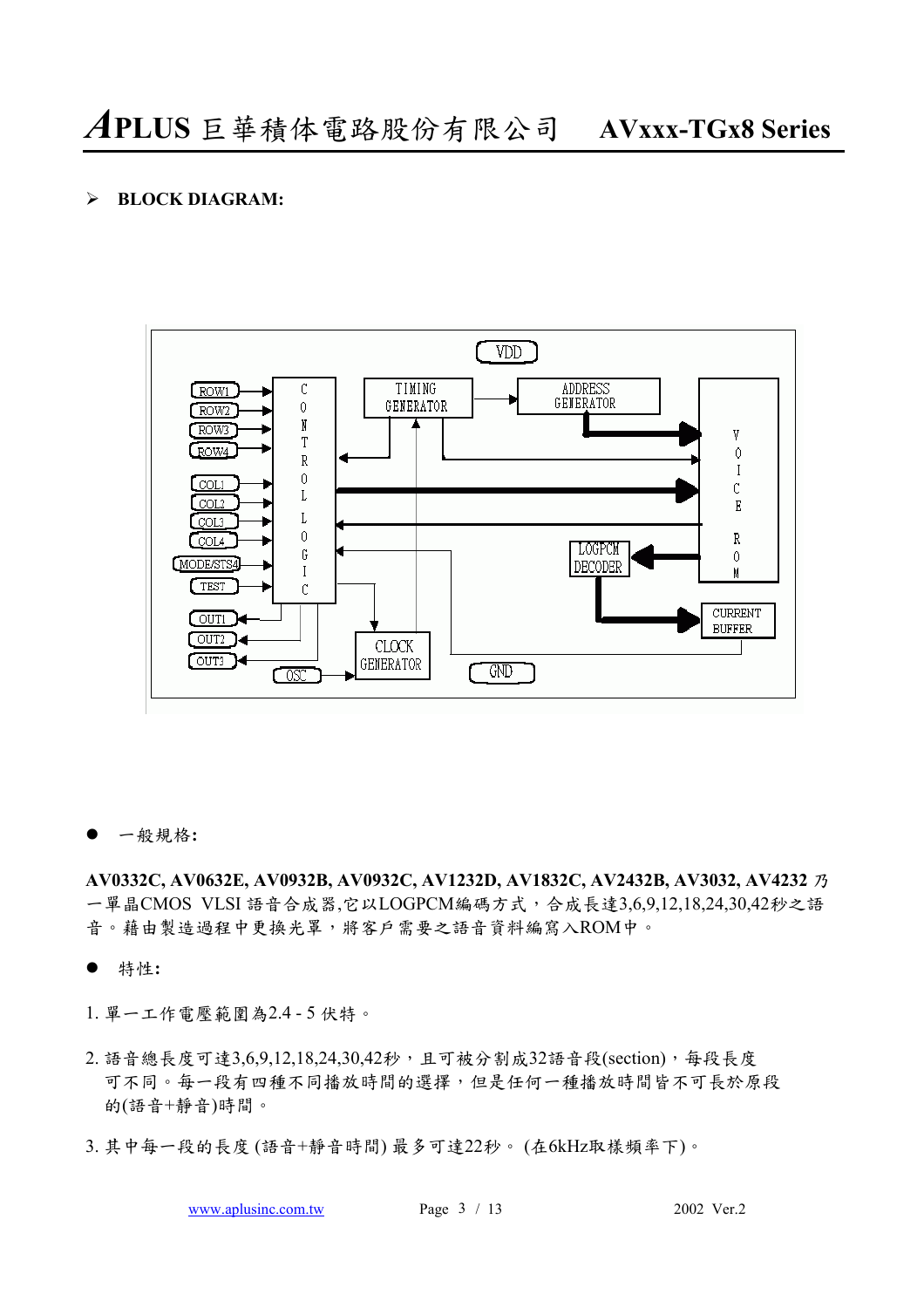### ¾ **BLOCK DIAGRAM:**



z ㆒般規格**:** 

**AV0332C, AV0632E, AV0932B, AV0932C, AV1232D, AV1832C, AV2432B, AV3032, AV4232** 乃 ㆒單晶CMOS VLSI 語音合成器,它以LOGPCM編碼方式,合成長達3,6,9,12,18,24,30,42秒之語 音。藉由製造過程中更換光罩,將客戶需要之語音資料編寫入ROM中。

- **●** 特性:
- 1. 單㆒工作電壓範圍為2.4 5 伏特。
- 2. 語音總長度可達3,6,9,12,18,24,30,42秒,且可被分割成32語音段(section), 每段長度 可不同。每一段有四種衣時間的選擇,但是任何一種播放時間皆不可長於原段 的(語音+靜音)時間。
- 3. 其中每一段的長度 (語音+靜音時間) 最多可達22秒。 (在6kHz取樣頻率下)。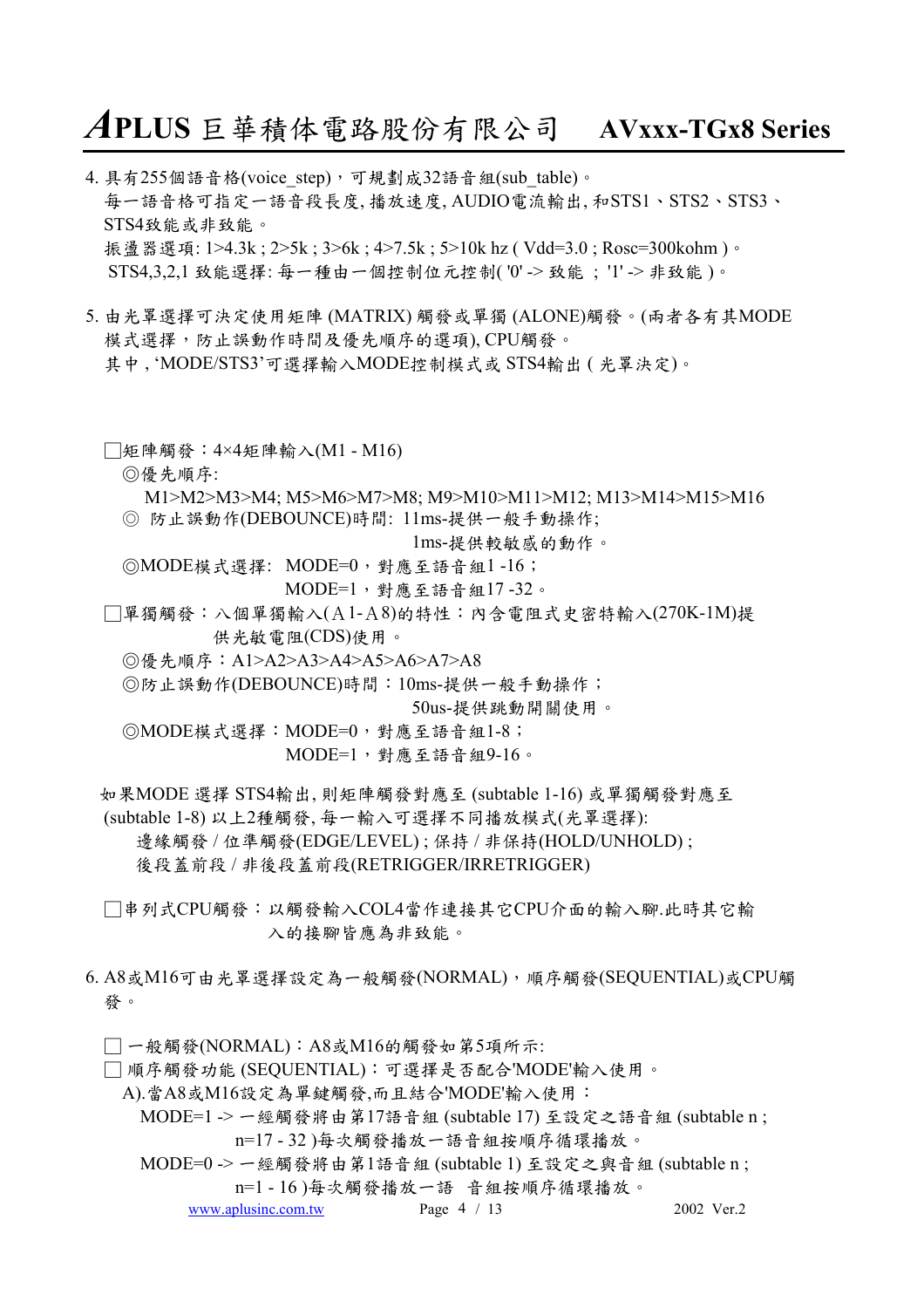4. 具有255個語音格(voice\_step),可規劃成32語音組(sub\_table)。 每㆒語音格可指定㆒語音段長度, 播放速度, AUDIO電流輸出, 和STS1、STS2、STS3、 STS4致能或非致能。 振盪器選項: 1>4.3k; 2>5k; 3>6k; 4>7.5k; 5>10k hz (Vdd=3.0; Rosc=300kohm)。 STS4,3,2,1 致能選擇: 每㆒種由㆒個控制位元控制( '0' -> 致能 ; '1' -> 非致能 )。

- 5. 由光罩選擇可決定使用矩陣 (MATRIX) 觸發或單獨 (ALONE)觸發。(兩者各有其MODE 模式選擇,防止誤動作時間及優先順序的選項), CPU觸發。 其中, 'MODE/STS3'可選擇輸入MODE控制模式或 STS4輸出 (光罩決定)。
	- □矩陣觸發:4×4矩陣輸入(M1 M16)
		- ◎優先順序:

 M1>M2>M3>M4; M5>M6>M7>M8; M9>M10>M11>M12; M13>M14>M15>M16 ◎ 防止誤動作(DEBOUNCE)時間: 11ms-提供㆒般手動操作;

1ms-提供較敏感的動作。

◎MODE模式選擇: MODE=0,對應至語音組1 -16;

- MODE=1,對應至語音組17 -32。
- □單獨觸發:八個單獨輸入(A1-A8)的特性:內含電阻式史密特輸入(270K-1M)提 供光敏電阻(CDS)使用。
	- ◎優先順序:A1>A2>A3>A4>A5>A6>A7>A8

◎防止誤動作(DEBOUNCE)時間:10ms-提供㆒般手動操作;

50us-提供跳動開關使用。

◎MODE模式選擇:MODE=0,對應至語音組1-8; MODE=1,對應至語音組9-16。

如果MODE 選擇 STS4輸出, 則矩陣觸發對應至 (subtable 1-16) 或單獨觸發對應至

(subtable 1-8) 以㆖2種觸發, 每㆒輸入可選擇不同播放模式(光罩選擇):

邊緣觸發 / 位準觸發(EDGE/LEVEL) ; 保持 / 非保持(HOLD/UNHOLD) ;

後段蓋前段 / 非後段蓋前段(RETRIGGER/IRRETRIGGER)

- □串列式CPU觸發:以觸發輸入COL4當作連接其它CPU介面的輸入腳.此時其它輸 入的接腳皆應為非致能。
- 6. A8或M16可由光罩選擇設定為㆒般觸發(NORMAL),順序觸發(SEQUENTIAL)或CPU觸 發。

□ ㆒般觸發(NORMAL):A8或M16的觸發如第5項所示:

□ 順序觸發功能 (SEQUENTIAL):可選擇是否配合'MODE'輸入使用。

A).當A8或M16設定為單鍵觸發,而且結合'MODE'輸入使用:

MODE=1 -> 一經觸發將由第17語音組 (subtable 17) 至設定之語音組 (subtable n;

n=17 - 32 )每次觸發播放㆒語音組按順序循環播放。

MODE=0 -> 一經觸發將由第1語音組 (subtable 1) 至設定之與音組 (subtable n; n=1 - 16 )每次觸發播放㆒語 音組按順序循環播放。

www.aplusinc.com.tw Page  $4 / 13$  2002 Ver.2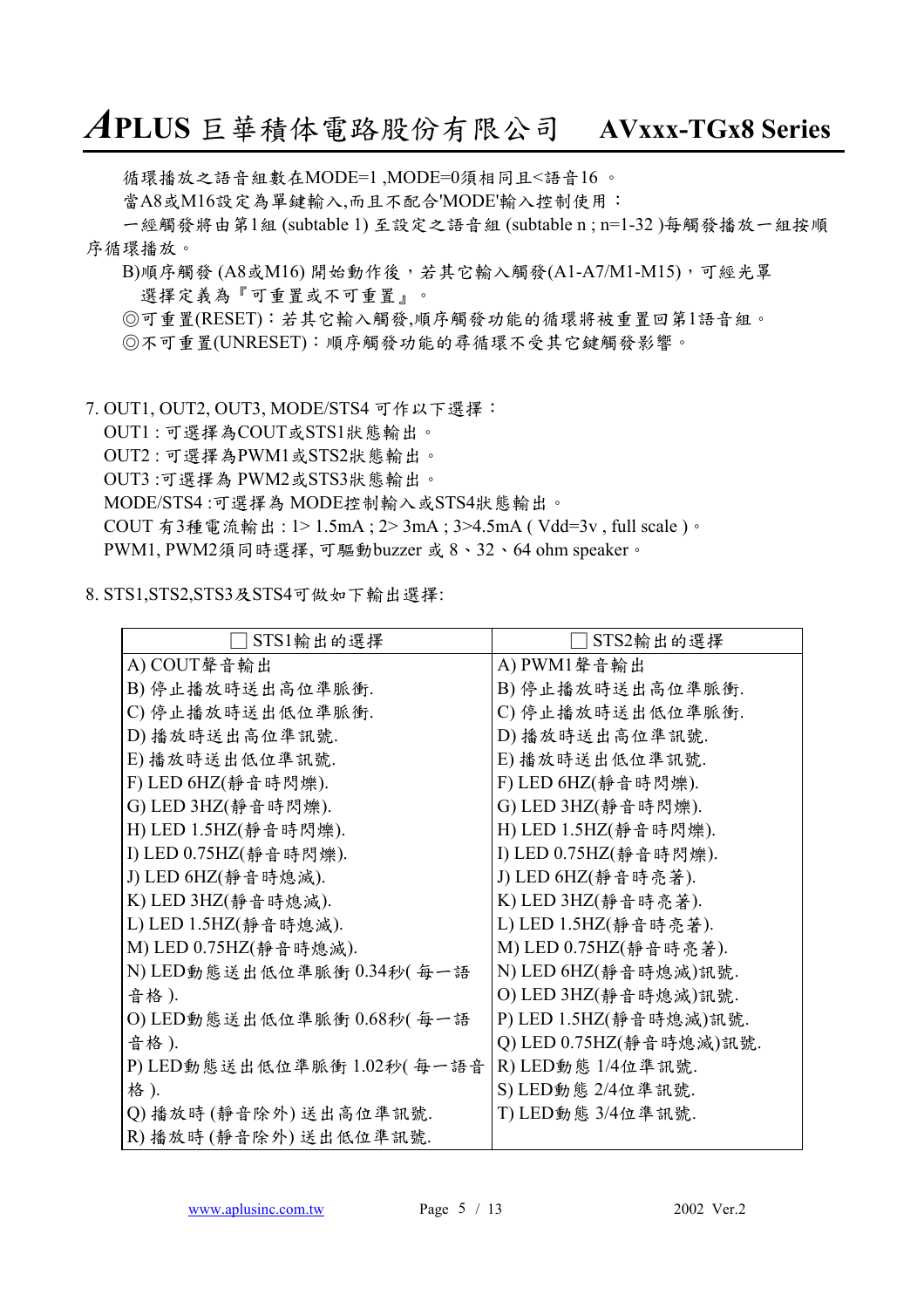循環播放之語音組數在MODE=1 ,MODE=0須相同且<語音16 。

當A8或M16設定為單鍵輸入,而且不配合'MODE'輸入控制使用:

㆒經觸發將由第1組 (subtable 1) 至設定之語音組 (subtable n ; n=1-32 )每觸發播放㆒組按順 序循環播放。

 $B$ )順序觸發(A8或M16)開始動作後,若其它輸入觸發(A1-A7/M1-M15),可經光罩 選擇定義為『可重置或不可重置』。

◎可重置(RESET):若其它輸入觸發,順序觸發功能的循環將被重置回第1語音組。

◎不可重置(UNRESET):順序觸發功能的尋循環不受其它鍵觸發影響。

7. OUT1, OUT2, OUT3, MODE/STS4 可作以下選擇:

OUT1 : 可選擇為COUT或STS1狀態輸出。

OUT2 : 可選擇為PWM1或STS2狀態輸出。

OUT3 :可選擇為 PWM2或STS3狀態輸出。

MODE/STS4 :可選擇為 MODE控制輸入或STS4狀態輸出。

COUT 有3種電流輸出 : 1> 1.5mA ; 2> 3mA ; 3>4.5mA ( Vdd=3v , full scale )。

PWM1, PWM2須同時選擇, 可驅動buzzer 或 8、32、64 ohm speaker。

#### 8. STS1,STS2,STS3及STS4可做如㆘輸出選擇:

| STS1輸出的選擇                 | STS2輸出的選擇               |
|---------------------------|-------------------------|
| A) COUT聲音輸出               | A) PWM1 聲音輸出            |
| B) 停止播放時送出高位準脈衝.          | B) 停止播放時送出高位準脈衝.        |
| C) 停止播放時送出低位準脈衝.          | C) 停止播放時送出低位準脈衝.        |
| D) 播放時送出高位準訊號.            | D) 播放時送出高位準訊號.          |
| E) 播放時送出低位準訊號.            | E) 播放時送出低位準訊號.          |
| F) LED 6HZ(静音時閃爍).        | F) LED 6HZ(静音時閃爍).      |
| G) LED 3HZ(靜音時閃爍).        | G) LED 3HZ(靜音時閃爍).      |
| H) LED 1.5HZ(靜音時閃爍).      | H) LED 1.5HZ(靜音時閃爍).    |
| I) LED 0.75HZ(靜音時閃爍).     | I) LED 0.75HZ(静音時閃爍).   |
| J) LED 6HZ(靜音時熄滅).        | J) LED 6HZ(靜音時亮著).      |
| K) LED 3HZ(靜音時熄滅).        | K) LED 3HZ(靜音時亮著).      |
| L) LED 1.5HZ(靜音時熄滅).      | L) LED 1.5HZ(靜音時亮著).    |
| M) LED 0.75HZ(靜音時熄滅).     | M) LED 0.75HZ(靜音時亮著).   |
| N) LED動態送出低位準脈衝 0.34秒(每一語 | N) LED 6HZ(靜音時熄滅)訊號.    |
| 音格).                      | O) LED 3HZ(靜音時熄滅)訊號.    |
| O) LED動態送出低位準脈衝 0.68秒(每一語 | P) LED 1.5HZ(靜音時熄滅)訊號.  |
| 音格).                      | Q) LED 0.75HZ(靜音時熄滅)訊號. |
| P)LED動態送出低位準脈衝 1.02秒(每一語音 | R) LED動態 1/4位準訊號.       |
| 格).                       | S) LED動態 2/4位準訊號.       |
| Q) 播放時 (靜音除外) 送出高位準訊號.    | T) LED動態 3/4位準訊號.       |
| R) 播放時 (靜音除外) 送出低位準訊號.    |                         |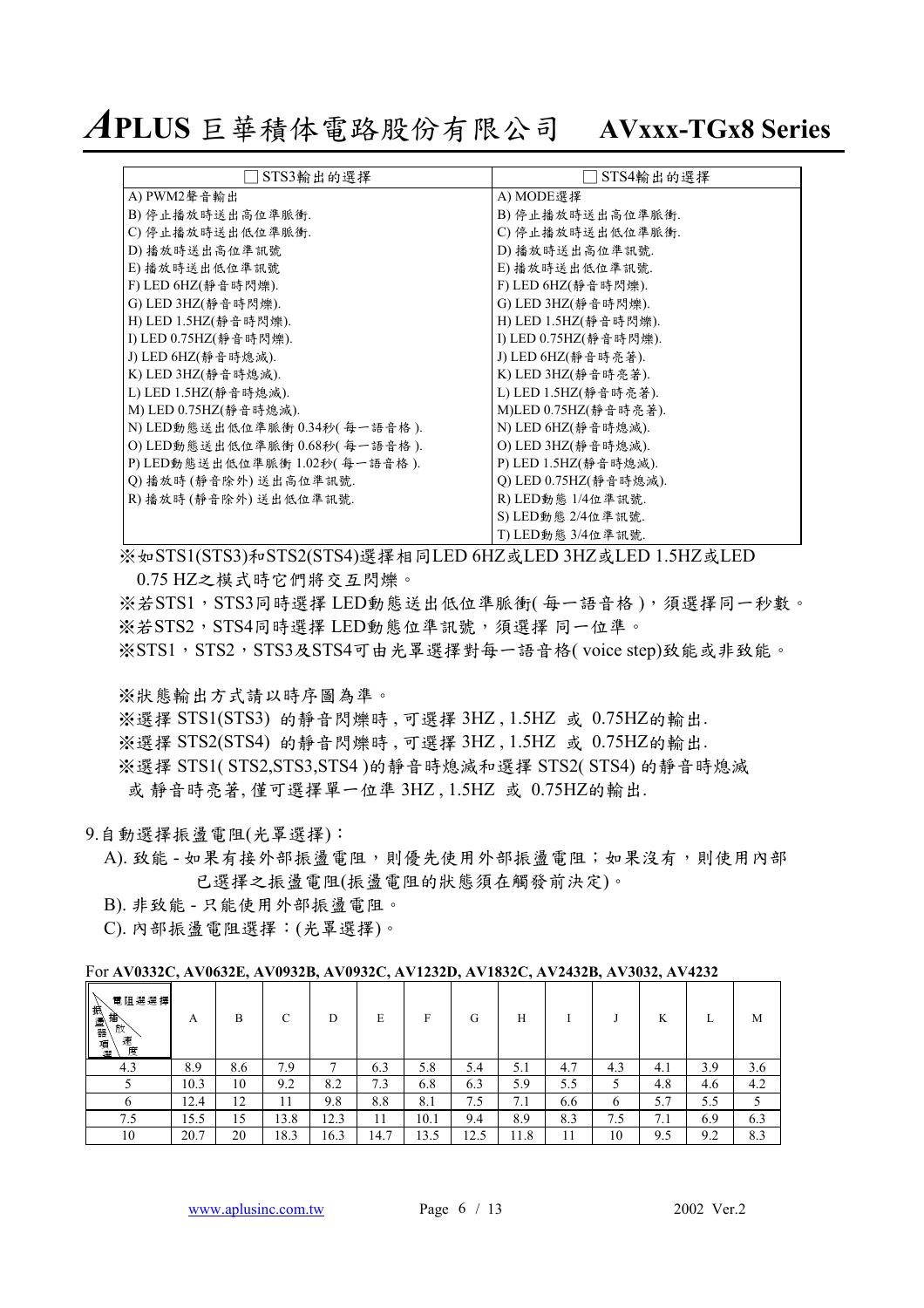*A***PLUS** 巨華積体電路股份有限公司 **AVxxx-TGx8 Series**

| STS3輸出的選擇                       | STS4輸出的選擇             |
|---------------------------------|-----------------------|
| A) PWM2 聲音輸出                    | A) MODE選擇             |
| B) 停止播放時送出高位準脈衝.                | B) 停止播放時送出高位準脈衝.      |
| C) 停止播放時送出低位準脈衝.                | C) 停止播放時送出低位準脈衝.      |
| D) 播放時送出高位準訊號                   | D) 播放時送出高位準訊號.        |
| E) 播放時送出低位準訊號                   | E) 播放時送出低位準訊號.        |
| F) LED 6HZ(靜音時閃爍).              | F) LED 6HZ(静音時閃爍).    |
| G) LED 3HZ(静音時閃爍).              | G) LED 3HZ(静音時閃爍).    |
| H) LED 1.5HZ(静音時閃爍).            | H) LED 1.5HZ(静音時閃爍).  |
| I) LED 0.75HZ(静音時閃爍).           | I) LED 0.75HZ(静音時閃爍). |
| J) LED 6HZ(静音時熄滅).              | J) LED 6HZ(靜音時亮著).    |
| K) LED 3HZ(靜音時熄滅).              | K) LED 3HZ(靜音時亮著).    |
| L) LED 1.5HZ(靜音時熄滅).            | L) LED 1.5HZ(静音時亮著).  |
| M) LED 0.75HZ(静音時熄滅).           | M)LED 0.75HZ(静音時亮著).  |
| N) LED動態送出低位準脈衝 0.34秒( 每一語音格 ). | N) LED 6HZ(静音時熄滅).    |
| O) LED動態送出低位準脈衝 0.68秒(每一語音格).   | O) LED 3HZ(静音時熄滅).    |
| P)LED動態送出低位準脈衝 1.02秒( 每一語音格 ).  | P) LED 1.5HZ(静音時熄滅).  |
| Q) 播放時 (靜音除外) 送出高位準訊號.          | Q) LED 0.75HZ(靜音時熄滅). |
| R) 播放時 (靜音除外) 送出低位準訊號.          | R) LED動態 1/4位準訊號.     |
|                                 | S) LED動態 2/4位準訊號.     |
|                                 | T) LED動態 3/4位準訊號.     |

※ 如STS1(STS3)和STS2(STS4)選擇相同LED 6HZ或LED 3HZ或LED 1.5HZ或LED 0.75 HZ之模式時它們將交互閃爍。

※若STS1,STS3同時選擇 LED動態送出低位準脈衝(每一語音格),須選擇同一秒數。 ※若STS2, STS4同時選擇 LED動態位準訊號,須選擇 同一位準。 ※STS1, STS2, STS3及STS4可由光罩選擇對每一語音格( voice step)致能或非致能。

※狀態輸出方式請以時序圖為準。

※選擇 STS1(STS3) 的靜音閃爍時 , 可選擇 3HZ , 1.5HZ 或 0.75HZ的輸出.

※選擇 STS2(STS4) 的靜音閃爍時 , 可選擇 3HZ , 1.5HZ 或 0.75HZ的輸出.

※選擇 STS1( STS2,STS3,STS4 )的靜音時熄滅和選擇 STS2( STS4) 的靜音時熄滅 或 靜音時亮著, 僅可選擇單㆒位準 3HZ , 1.5HZ 或 0.75HZ的輸出.

- 9.自動選擇振盪電阻(光罩選擇):
	- A). 致能 如果有接外部振盪電阻,則優先使用外部振盪電阻;如果沒有,則使用內部 已選擇之振盪電阻(振盪電阻的狀態須在觸發前決定)。
	- B). 非致能 只能使用外部振盪電阻。

C). 內部振盪電阻選擇:(光罩選擇)。

For **AV0332C, AV0632E, AV0932B, AV0932C, AV1232D, AV1832C, AV2432B, AV3032, AV4232** 

| 人抽盪<br>電阻選選擇<br>播<br>放<br>器<br>速<br>項<br>度 | A    | В   | $\sqrt{ }$<br>◡ | D    | E    | Е    | G    | Н               |     |     | K   |     | M   |
|--------------------------------------------|------|-----|-----------------|------|------|------|------|-----------------|-----|-----|-----|-----|-----|
| 4.3                                        | 8.9  | 8.6 | 7.9             | ▀    | 6.3  | 5.8  | 5.4  | 5.1             | 4.7 | 4.3 | 4.1 | 3.9 | 3.6 |
|                                            | 10.3 | 10  | 9.2             | 8.2  | 7.3  | 6.8  | 6.3  | 5.9             | 5.5 | ◡   | 4.8 | 4.6 | 4.2 |
|                                            | 12.4 | 12  |                 | 9.8  | 8.8  | 8.i  | 7.5  | 7<br>$\sqrt{1}$ | 6.6 | b   | 5.7 | 5.5 |     |
| 7.5                                        | 15.5 | 15  | 13.8            | 12.3 | 11   | 10.1 | 9.4  | 8.9             | 8.3 | 7.5 | 7.1 | 6.9 | 6.3 |
| 10                                         | 20.7 | 20  | 18.3            | 16.3 | 14.7 | 13.5 | 12.5 | 11.8            | 11  | 10  | 9.5 | 9.2 | 8.3 |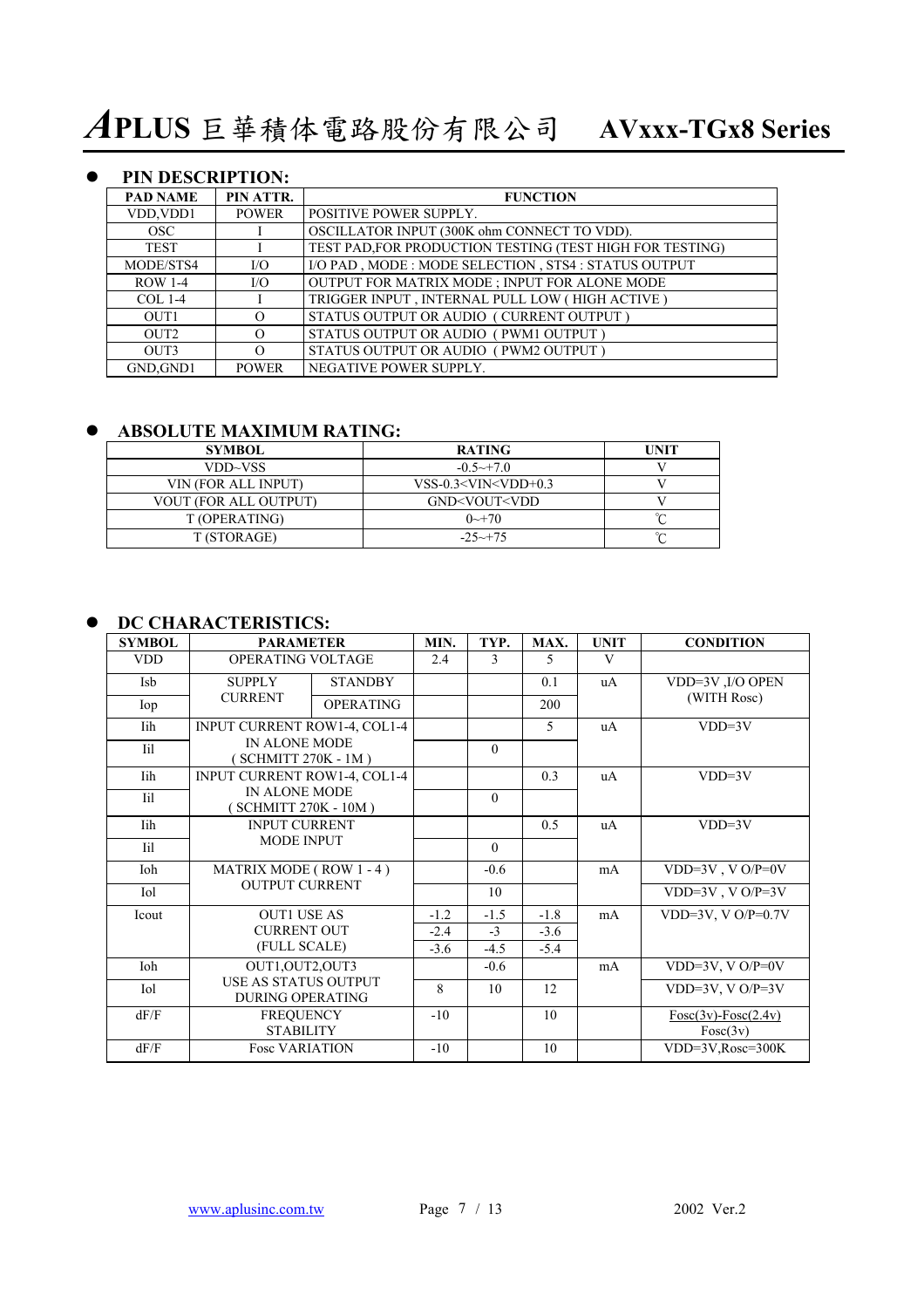### **• PIN DESCRIPTION:**

| <b>PAD NAME</b>  | PIN ATTR.    | <b>FUNCTION</b>                                          |
|------------------|--------------|----------------------------------------------------------|
| VDD, VDD1        | <b>POWER</b> | <b>POSITIVE POWER SUPPLY.</b>                            |
| OSC.             |              | OSCILLATOR INPUT (300K ohm CONNECT TO VDD).              |
| <b>TEST</b>      |              | TEST PAD, FOR PRODUCTION TESTING (TEST HIGH FOR TESTING) |
| MODE/STS4        | I/O          | I/O PAD, MODE: MODE SELECTION, STS4: STATUS OUTPUT       |
| <b>ROW 1-4</b>   | I/O          | OUTPUT FOR MATRIX MODE ; INPUT FOR ALONE MODE            |
| $COL 1-4$        |              | TRIGGER INPUT, INTERNAL PULL LOW (HIGH ACTIVE)           |
| OUT <sub>1</sub> | $\Omega$     | STATUS OUTPUT OR AUDIO (CURRENT OUTPUT)                  |
| OUT <sub>2</sub> | $\Omega$     | STATUS OUTPUT OR AUDIO (PWM1 OUTPUT)                     |
| OUT3             | $\Omega$     | STATUS OUTPUT OR AUDIO (PWM2 OUTPUT)                     |
| GND.GND1         | <b>POWER</b> | NEGATIVE POWER SUPPLY.                                   |

### $\bullet$  **ABSOLUTE MAXIMUM RATING:**

| <b>SYMBOL</b>         | <b>RATING</b>                              | <b>TINIT</b> |
|-----------------------|--------------------------------------------|--------------|
| VDD~VSS               | $-0.5 \rightarrow 7.0$                     |              |
| VIN (FOR ALL INPUT)   | $VSS-0.3<$ VIN $<$ VDD+0.3                 |              |
| VOUT (FOR ALL OUTPUT) | GND <vout<vdd< td=""><td></td></vout<vdd<> |              |
| T (OPERATING)         | $0 \rightarrow 70$                         |              |
| T (STORAGE)           | $-25 \rightarrow +75$                      | $\sim$       |

### $\bullet$  DC CHARACTERISTICS:

| <b>SYMBOL</b> | <b>PARAMETER</b>                                       |                  | MIN.   | TYP.     | MAX.   | <b>UNIT</b> | <b>CONDITION</b>                    |
|---------------|--------------------------------------------------------|------------------|--------|----------|--------|-------------|-------------------------------------|
| <b>VDD</b>    | OPERATING VOLTAGE                                      |                  | 2.4    | 3        | 5      | V           |                                     |
| <b>Isb</b>    | <b>STANDBY</b><br><b>SUPPLY</b>                        |                  |        |          | 0.1    | uA          | VDD=3V ,I/O OPEN                    |
| Iop           | <b>CURRENT</b>                                         | <b>OPERATING</b> |        |          | 200    |             | (WITH Rosc)                         |
| Iih           | <b>INPUT CURRENT ROW1-4, COL1-4</b>                    |                  |        |          | 5      | uA          | $VDD=3V$                            |
| Iil           | IN ALONE MODE<br>SCHMITT 270K - 1M)                    |                  |        | $\theta$ |        |             |                                     |
| Iih           | <b>INPUT CURRENT ROW1-4, COL1-4</b>                    |                  |        |          | 0.3    | uA          | $VDD=3V$                            |
| Iil           | IN ALONE MODE<br>(SCHMITT 270K - 10M)                  |                  |        | $\theta$ |        |             |                                     |
| Iih           | <b>INPUT CURRENT</b>                                   |                  |        |          | 0.5    | uA          | $VDD=3V$                            |
| Iil           | <b>MODE INPUT</b>                                      |                  |        | $\theta$ |        |             |                                     |
| Ioh           | MATRIX MODE (ROW 1-4)                                  |                  |        | $-0.6$   |        | mA          | VDD=3V, VO/P=0V                     |
| Iol           | <b>OUTPUT CURRENT</b>                                  |                  |        | 10       |        |             | VDD= $3V$ , VO/P= $3V$              |
| Icout         | <b>OUT1 USE AS</b>                                     |                  | $-1.2$ | $-1.5$   | $-1.8$ | mA          | VDD=3V, V $O/P=0.7V$                |
|               | <b>CURRENT OUT</b>                                     |                  | $-2.4$ | $-3$     | $-3.6$ |             |                                     |
|               | (FULL SCALE)                                           |                  | $-3.6$ | $-4.5$   | $-5.4$ |             |                                     |
| Ioh           | OUT1, OUT2, OUT3                                       |                  |        | $-0.6$   |        | mA          | VDD=3V, V $O/P=0V$                  |
| Iol           | <b>USE AS STATUS OUTPUT</b><br><b>DURING OPERATING</b> |                  | 8      | 10       | 12     |             | $\overline{VDD=3}V, VO/P=3V$        |
| dF/F          | <b>FREQUENCY</b><br><b>STABILITY</b>                   |                  | $-10$  |          | 10     |             | $Fosc(3v) - Fosc(2.4v)$<br>Fosc(3v) |
| dF/F          | <b>Fosc VARIATION</b>                                  |                  | $-10$  |          | 10     |             | VDD=3V, Rosc=300K                   |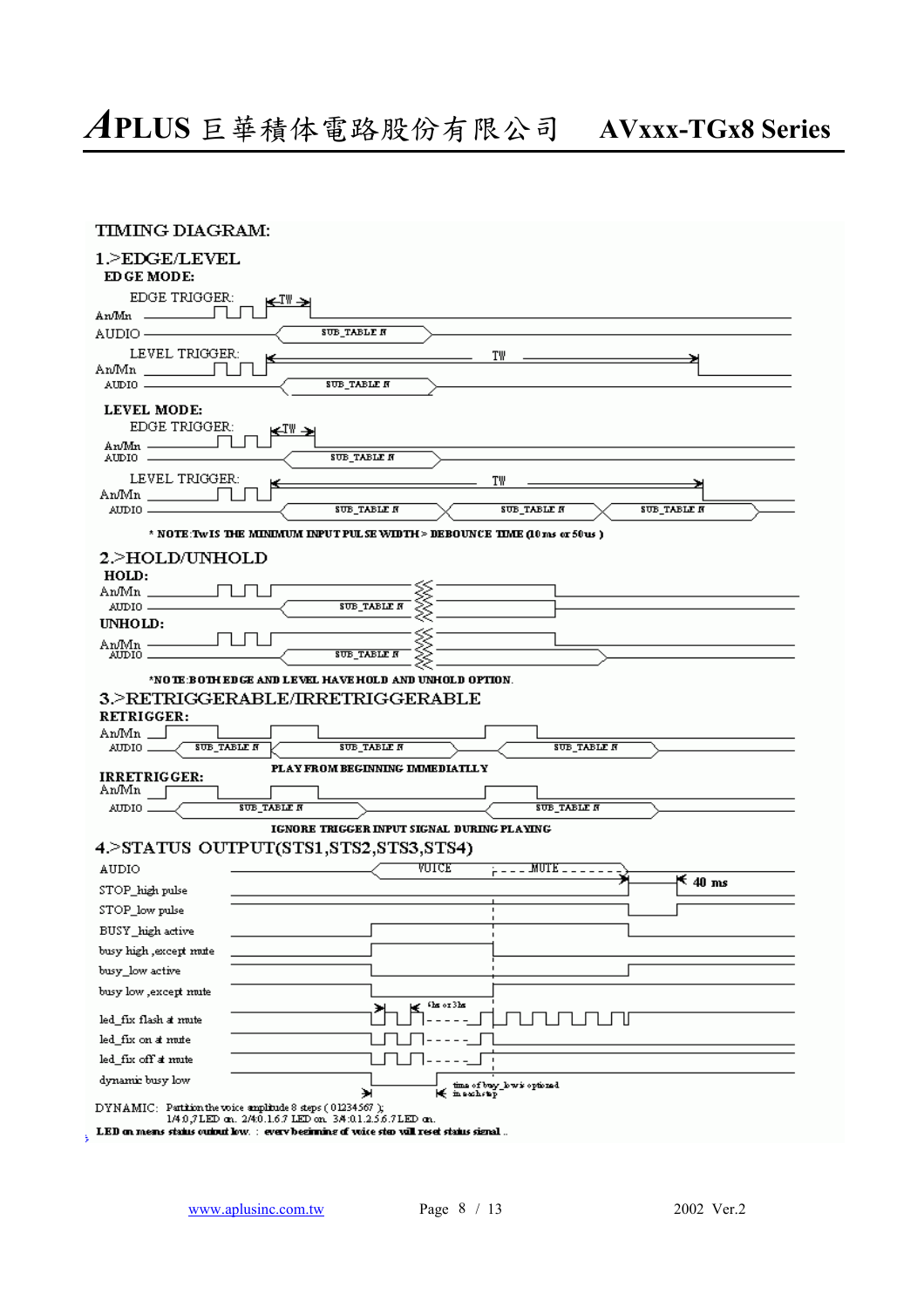| <b>TIMING DIAGRAM:</b>                       |                                                                                                                              |
|----------------------------------------------|------------------------------------------------------------------------------------------------------------------------------|
| 1.>EDGE/LEVEL<br>EDGE MODE:                  |                                                                                                                              |
| <b>EDGE TRIGGER:</b>                         | ⊯™→                                                                                                                          |
| $\text{An/Min}$                              |                                                                                                                              |
| AUDIO ——                                     | SUB_TABLE N                                                                                                                  |
| LEVEL TRIGGER:                               | T₩<br>к                                                                                                                      |
| An/Mn                                        |                                                                                                                              |
|                                              | <b>SUB TABLE N</b>                                                                                                           |
| LEVEL MODE:                                  |                                                                                                                              |
| EDGE TRIGGER:                                | k—™→                                                                                                                         |
| An/Mn —                                      | SUB_TABLE N                                                                                                                  |
| LEVEL TRIGGER:                               | T₩                                                                                                                           |
| An/Mn                                        |                                                                                                                              |
| $AIDIO$ $-$                                  | SUB_TABLE N<br><b>SUB TABLE N</b><br>SUB_TABLE N                                                                             |
|                                              | * NOTE:TWIS THE MINIMUM INPUT PULSE WIDTH > DEBOUNCE TIME (10 ms or 50 us )                                                  |
| 2.>HOLD/UNHOLD                               |                                                                                                                              |
| HOLD:                                        |                                                                                                                              |
| AnMn ____                                    |                                                                                                                              |
|                                              | <b>SUB_TABLE N</b>                                                                                                           |
| UNHOLD:                                      |                                                                                                                              |
| AnMn –<br>$\text{AIDIO}$ .                   | <b>SUB_TABLE N</b>                                                                                                           |
|                                              | *NO TE:BOTH EDGE AND LEVEL HAVE HOLD AND UNHOLD OPTION.                                                                      |
|                                              | 3.>RETRIGGERABLE/IRRETRIGGERABLE                                                                                             |
| RETRIGGER:                                   |                                                                                                                              |
| $\text{AnMn}$                                |                                                                                                                              |
| <b>SUB TABLE N</b><br>$\text{AMDIO} \_\_\_\$ | <b>SUB_TABLE N</b><br><b>SUB TABLE N</b>                                                                                     |
|                                              | PLAY FROM BEGINNING IMMEDIATLLY                                                                                              |
| <b>IRRETRIGGER:</b><br>AnMn [                |                                                                                                                              |
| $\text{AMDO}$ $\_$                           | <b>SUB_TABLE N</b><br><b>SUB TABLE N</b>                                                                                     |
|                                              | <b>IGNORE TRIGGER INPUT SIGNAL DURING PLAYING</b>                                                                            |
|                                              | 4.>STATUS OUTPUT(STS1,STS2,STS3,STS4)                                                                                        |
| AUDIO                                        | VUICE<br>$\frac{1}{10}$ = = = MUTE = = = = =                                                                                 |
| STOP high pulse                              | $K$ 40 ms                                                                                                                    |
|                                              |                                                                                                                              |
| STOP_low pulse                               |                                                                                                                              |
| BUSY high active                             |                                                                                                                              |
| busy high , except mute                      |                                                                                                                              |
| busy_low active                              |                                                                                                                              |
| busy low , except mute                       | the or 3he                                                                                                                   |
| led_fix_flash_at_mute                        |                                                                                                                              |
| led_fix on at mute                           |                                                                                                                              |
| led_fix off at mute                          |                                                                                                                              |
| dynamic busy low                             |                                                                                                                              |
|                                              | time of busy_low is optioned.<br>₩<br>lé masakap                                                                             |
|                                              | $DYNAMIC:$ Partition the voice amplitude 8 steps ( $01234567$ );<br>1/4.0,7LED an. 2/4:0.1.6.7 LED on. 3/4:01.2.5.6.7LED an. |
|                                              | ${\bf LED}$ on means status output low, $\pm$ every beginning of voice step vall reset status signal $\pm$                   |

ÿ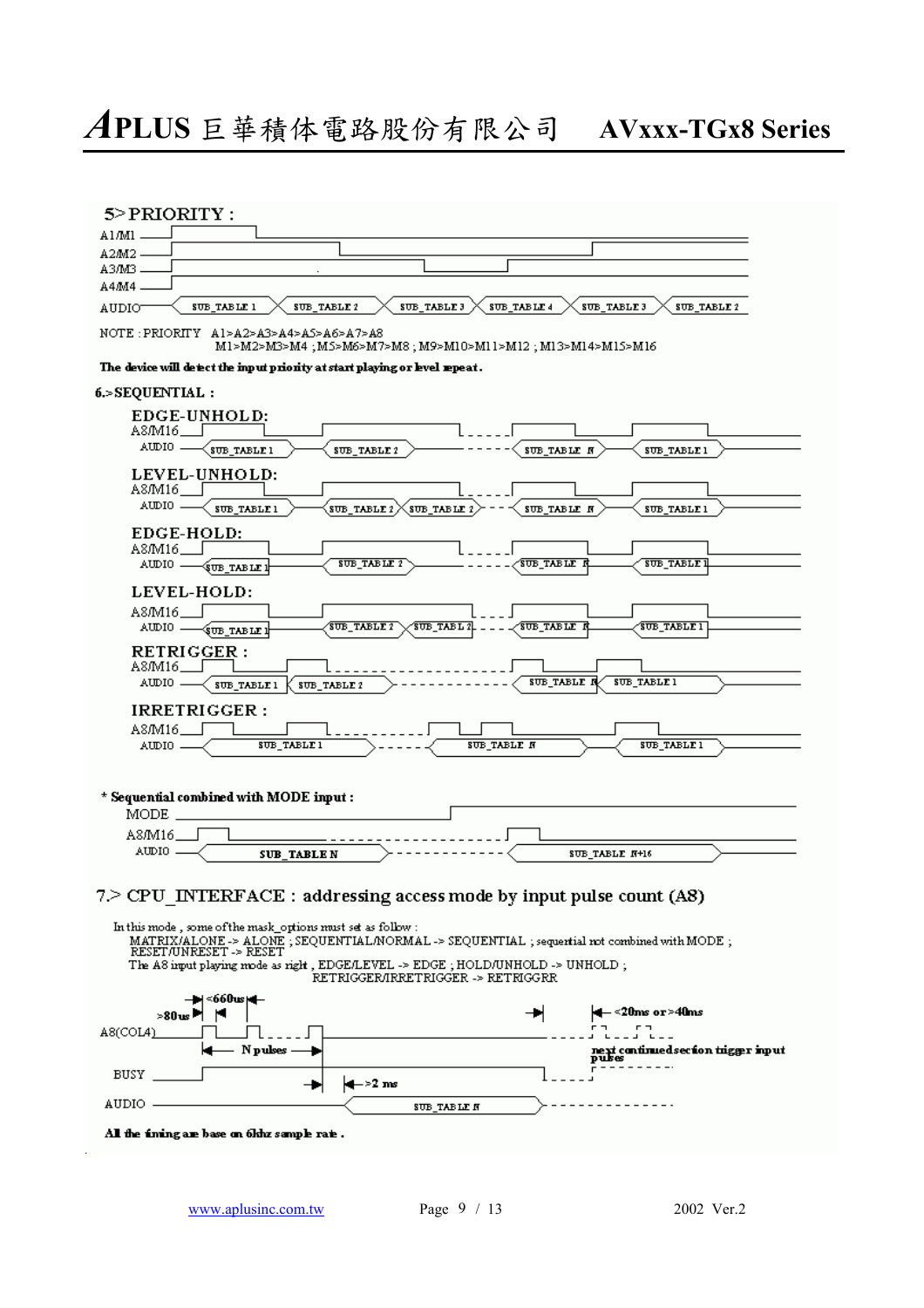| A1/M1                                                                                                                                                                                                     |                                                             |                                    |                    |                                                                                              |             |
|-----------------------------------------------------------------------------------------------------------------------------------------------------------------------------------------------------------|-------------------------------------------------------------|------------------------------------|--------------------|----------------------------------------------------------------------------------------------|-------------|
| A2M2.                                                                                                                                                                                                     |                                                             |                                    |                    |                                                                                              |             |
| A3/M3.                                                                                                                                                                                                    |                                                             |                                    |                    |                                                                                              |             |
| A4M4                                                                                                                                                                                                      |                                                             |                                    |                    |                                                                                              |             |
| <b>SUB TABLE 1</b><br>AUDIO                                                                                                                                                                               | SUB_TABLE 2                                                 | SUB TABLE 3                        | SUB TABLE 4        | SUB TABLE 3                                                                                  | SUB TABLE 2 |
| NOTE:PRIORITY Al>A2>A3>A4>A5>A6>A7>A8                                                                                                                                                                     | M1>M2>M3>M4 ;M5>M6>M7>M8 ; M9>M10>M11>M12 ; M13>M14>M15>M16 |                                    |                    |                                                                                              |             |
| The device will detect the input priority at start playing or level repeat.<br>6.>SEQUENTIAL:                                                                                                             |                                                             |                                    |                    |                                                                                              |             |
| EDGE-UNHOLD:                                                                                                                                                                                              |                                                             |                                    |                    |                                                                                              |             |
| A8/M16                                                                                                                                                                                                    |                                                             |                                    |                    |                                                                                              |             |
| AUDIO —<br>SUB TABLE 1                                                                                                                                                                                    | SUB TABLE 2                                                 |                                    | SUB TABLE N        | SUB TABLE 1                                                                                  |             |
|                                                                                                                                                                                                           |                                                             |                                    |                    |                                                                                              |             |
| LEVEL-UNHOLD:<br>A8/M16__                                                                                                                                                                                 |                                                             |                                    |                    |                                                                                              |             |
| AUDIO .                                                                                                                                                                                                   |                                                             |                                    |                    |                                                                                              |             |
| SUB_TABLE 1                                                                                                                                                                                               | SUB TABLE 2                                                 | SUB TABLE 2                        | <b>SUB_TABLE N</b> | SUB_TABLE 1                                                                                  |             |
| EDGE-HOLD:                                                                                                                                                                                                |                                                             |                                    |                    |                                                                                              |             |
| A8/M16                                                                                                                                                                                                    |                                                             |                                    |                    |                                                                                              |             |
| AUDIO .<br>(SUB TABLE 1                                                                                                                                                                                   |                                                             | SUB_TABLE 2                        | <u>TUB TABLE F</u> | <b>SUB_TABLE I</b>                                                                           |             |
| LEVEL-HOLD:                                                                                                                                                                                               |                                                             |                                    |                    |                                                                                              |             |
|                                                                                                                                                                                                           |                                                             |                                    |                    |                                                                                              |             |
| A8M16.                                                                                                                                                                                                    | <b>SUB TABLE 2</b>                                          | <b>SUB TABL 2</b>                  | <b>TUB TABLE F</b> | <b>SUB TABLE 1</b>                                                                           |             |
| AUDIO -<br><b>(</b> \$UB TABLE 1                                                                                                                                                                          |                                                             |                                    |                    |                                                                                              |             |
| <b>RETRIGGER:</b>                                                                                                                                                                                         |                                                             |                                    |                    |                                                                                              |             |
| A8/M16___                                                                                                                                                                                                 |                                                             |                                    |                    |                                                                                              |             |
|                                                                                                                                                                                                           |                                                             |                                    |                    |                                                                                              |             |
| AUDIO .<br>SUB_TABLE1                                                                                                                                                                                     | SUB_TABLE 2                                                 |                                    | SUB_TABLE N        | <b>SUB TABLE 1</b>                                                                           |             |
|                                                                                                                                                                                                           |                                                             |                                    |                    |                                                                                              |             |
| IRRETRIGGER:                                                                                                                                                                                              |                                                             |                                    |                    |                                                                                              |             |
| A8/M16___<br>AUDIO -                                                                                                                                                                                      | SUB_TABLE 1                                                 |                                    | SUB_TABLE_N        | SUB_TABLE 1                                                                                  |             |
|                                                                                                                                                                                                           |                                                             |                                    |                    |                                                                                              |             |
|                                                                                                                                                                                                           |                                                             |                                    |                    |                                                                                              |             |
| <b>MODE</b>                                                                                                                                                                                               |                                                             |                                    |                    |                                                                                              |             |
| A8/M16                                                                                                                                                                                                    |                                                             |                                    |                    |                                                                                              |             |
| AUDIO .                                                                                                                                                                                                   | <b>SUB_TABLE N</b>                                          |                                    |                    | SUB TABLE N+16                                                                               |             |
|                                                                                                                                                                                                           |                                                             |                                    |                    | MATRIX/ALONE-> ALONE ; SEQUENTIAL/NORMAL -> SEQUENTIAL ; sequertial not combined with MODE ; |             |
| RESET/UNRESET -> RESET                                                                                                                                                                                    |                                                             |                                    |                    |                                                                                              |             |
| The A8 input playing mode as right, EDGE/LEVEL -> EDGE; HOLD/UNHOLD -> UNHOLD;                                                                                                                            |                                                             | RETRIGGER/IRRETRIGGER -> RETRIGGRR |                    |                                                                                              |             |
|                                                                                                                                                                                                           |                                                             |                                    |                    |                                                                                              |             |
| <660us⊫—                                                                                                                                                                                                  |                                                             |                                    |                    | - <20ms or>40ms                                                                              |             |
| >80ա⊴                                                                                                                                                                                                     |                                                             |                                    |                    |                                                                                              |             |
|                                                                                                                                                                                                           |                                                             |                                    |                    |                                                                                              |             |
|                                                                                                                                                                                                           | N pulses                                                    |                                    |                    | next continued section trigger input<br>pukes                                                |             |
|                                                                                                                                                                                                           |                                                             |                                    |                    |                                                                                              |             |
| * Sequential combined with MODE input:<br>7.> CPU INTERFACE : addressing access mode by input pulse count (A8)<br>In this mode, some of the mask_options must set as follow :<br>A8(COL4 <u>)</u><br>BUSY |                                                             | + l→2 ms                           |                    |                                                                                              |             |
| AUDIO                                                                                                                                                                                                     |                                                             | <b>SUB_TABLE N</b>                 |                    |                                                                                              |             |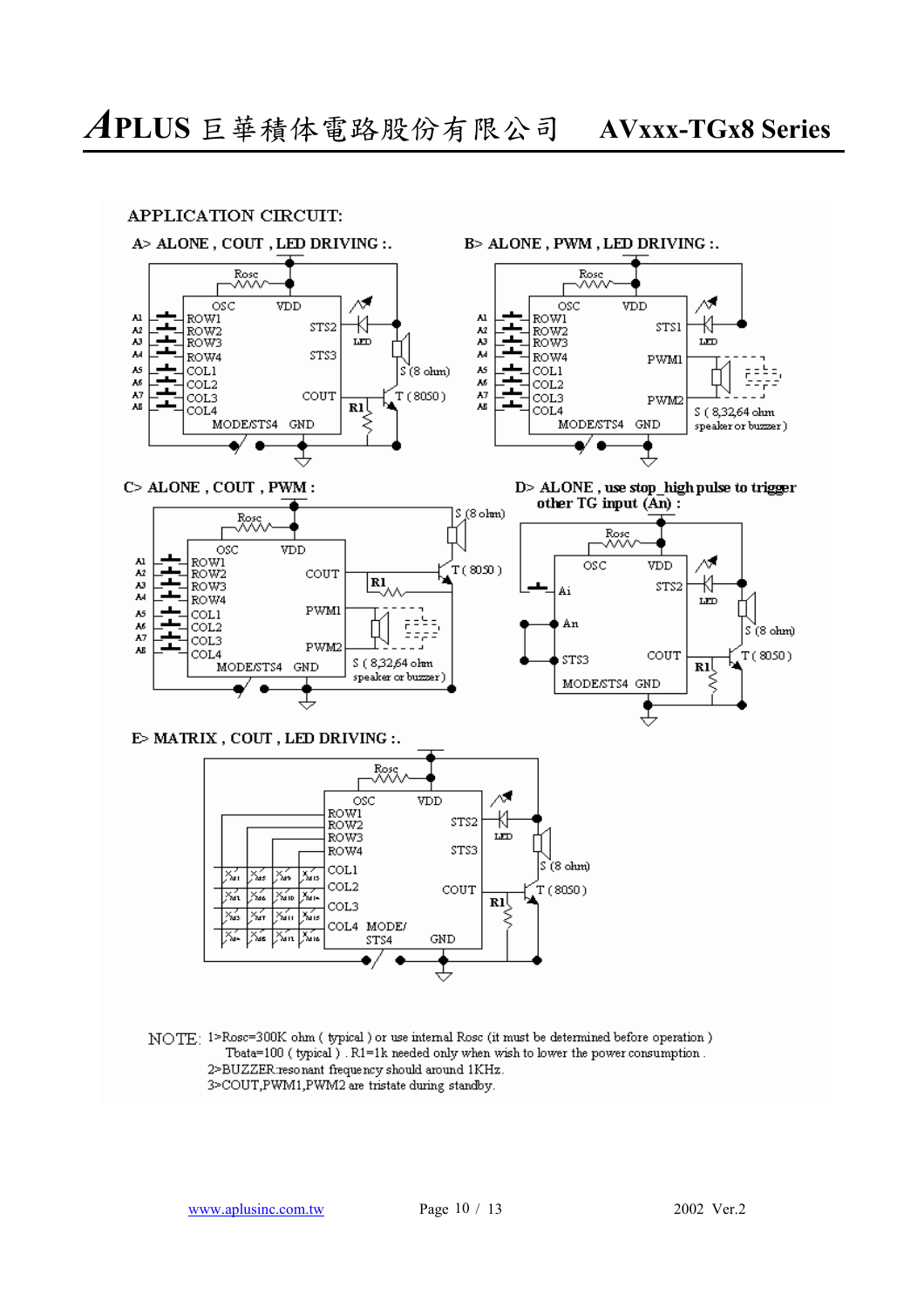

NOTE: 1>Rosc=300K ohm ( typical ) or use internal Rosc (it must be determined before operation ) Tbata=100 (typical). R1=1k needed only when wish to lower the power consumption. 2>BUZZER:resonant frequency should around 1KHz. 3>COUT,PWM1,PWM2 are tristate during standby.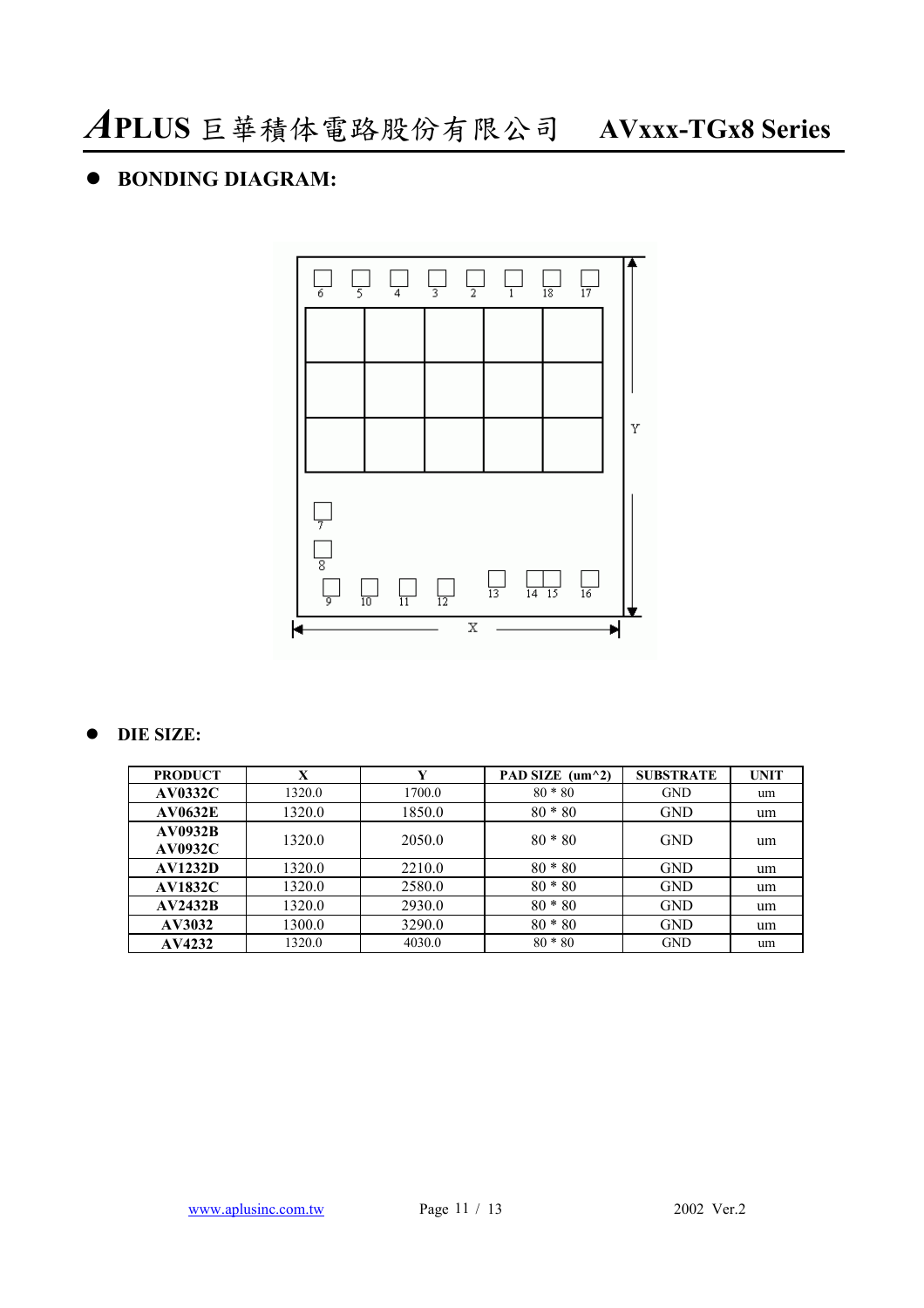### $\bullet$  **BONDING DIAGRAM:**



### $O$  DIE SIZE:

| <b>PRODUCT</b>                   | X      | Y      | PAD SIZE $(\text{um}^{\wedge}2)$ | <b>SUBSTRATE</b> | <b>UNIT</b> |
|----------------------------------|--------|--------|----------------------------------|------------------|-------------|
| <b>AV0332C</b>                   | 1320.0 | 1700.0 | $80 * 80$                        | <b>GND</b>       | um          |
| <b>AV0632E</b>                   | 1320.0 | 1850.0 | $80 * 80$                        | <b>GND</b>       | um          |
| <b>AV0932B</b><br><b>AV0932C</b> | 1320.0 | 2050.0 | $80 * 80$                        | <b>GND</b>       | um          |
| <b>AV1232D</b>                   | 1320.0 | 2210.0 | $80 * 80$                        | <b>GND</b>       | um          |
| <b>AV1832C</b>                   | 1320.0 | 2580.0 | $80 * 80$                        | <b>GND</b>       | um          |
| AV2432B                          | 1320.0 | 2930.0 | $80 * 80$                        | <b>GND</b>       | um          |
| AV3032                           | 1300.0 | 3290.0 | $80 * 80$                        | <b>GND</b>       | um          |
| AV4232                           | 1320.0 | 4030.0 | $80 * 80$                        | <b>GND</b>       | um          |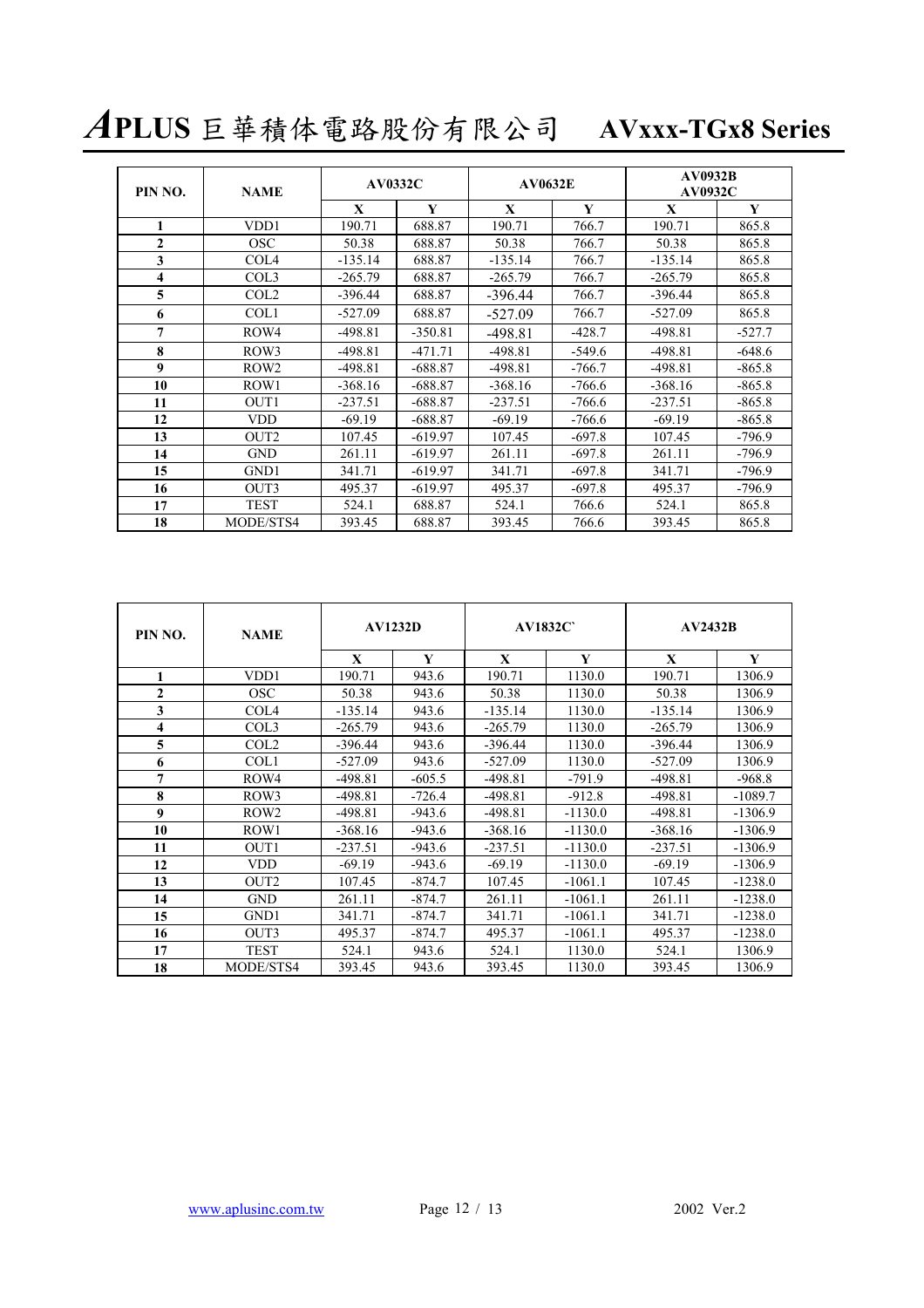*A***PLUS** 巨華積体電路股份有限公司 **AVxxx-TGx8 Series**

| PIN NO.      | <b>NAME</b>       | <b>AV0332C</b> |           | <b>AV0632E</b> |          | <b>AV0932B</b><br><b>AV0932C</b> |          |  |
|--------------|-------------------|----------------|-----------|----------------|----------|----------------------------------|----------|--|
|              |                   | X              | Y         | X              | Y        | X                                | Y        |  |
| 1            | VD <sub>D</sub> 1 | 190.71         | 688.87    | 190.71         | 766.7    | 190.71                           | 865.8    |  |
| $\mathbf{2}$ | <b>OSC</b>        | 50.38          | 688.87    | 50.38          | 766.7    | 50.38                            | 865.8    |  |
| 3            | COL <sub>4</sub>  | $-135.14$      | 688.87    | $-135.14$      | 766.7    | $-135.14$                        | 865.8    |  |
| 4            | COL3              | $-265.79$      | 688.87    | $-265.79$      | 766.7    | $-265.79$                        | 865.8    |  |
| 5            | COL <sub>2</sub>  | $-396.44$      | 688.87    | $-396.44$      | 766.7    | $-396.44$                        | 865.8    |  |
| 6            | COL1              | $-527.09$      | 688.87    | $-527.09$      | 766.7    | $-527.09$                        | 865.8    |  |
| 7            | ROW4              | $-498.81$      | $-350.81$ | $-498.81$      | $-428.7$ | $-498.81$                        | $-527.7$ |  |
| 8            | ROW3              | $-498.81$      | $-471.71$ | $-498.81$      | $-549.6$ | $-498.81$                        | $-648.6$ |  |
| 9            | ROW <sub>2</sub>  | $-498.81$      | $-688.87$ | $-498.81$      | $-766.7$ | $-498.81$                        | $-865.8$ |  |
| 10           | ROW1              | $-368.16$      | $-688.87$ | $-368.16$      | $-766.6$ | $-368.16$                        | $-865.8$ |  |
| 11           | OUT <sub>1</sub>  | $-237.51$      | $-688.87$ | $-237.51$      | $-766.6$ | $-237.51$                        | $-865.8$ |  |
| 12           | <b>VDD</b>        | $-69.19$       | $-688.87$ | $-69.19$       | $-766.6$ | $-69.19$                         | $-865.8$ |  |
| 13           | OUT <sub>2</sub>  | 107.45         | $-619.97$ | 107.45         | $-697.8$ | 107.45                           | $-796.9$ |  |
| 14           | <b>GND</b>        | 261.11         | $-619.97$ | 261.11         | $-697.8$ | 261.11                           | $-796.9$ |  |
| 15           | GND1              | 341.71         | $-619.97$ | 341.71         | $-697.8$ | 341.71                           | $-796.9$ |  |
| 16           | OUT3              | 495.37         | $-619.97$ | 495.37         | $-697.8$ | 495.37                           | $-796.9$ |  |
| 17           | <b>TEST</b>       | 524.1          | 688.87    | 524.1          | 766.6    | 524.1                            | 865.8    |  |
| 18           | MODE/STS4         | 393.45         | 688.87    | 393.45         | 766.6    | 393.45                           | 865.8    |  |

| PIN NO.                 | <b>NAME</b>      | <b>AV1232D</b> |          | <b>AV1832C</b> |           | <b>AV2432B</b> |           |  |
|-------------------------|------------------|----------------|----------|----------------|-----------|----------------|-----------|--|
|                         |                  | X              | Y        | X              | Y         | $\mathbf{X}$   | Y         |  |
| 1                       | VDD1             | 190.71         | 943.6    | 190.71         | 1130.0    | 190.71         | 1306.9    |  |
| $\overline{2}$          | <b>OSC</b>       | 50.38          | 943.6    | 50.38          | 1130.0    | 50.38          | 1306.9    |  |
| 3                       | COL <sub>4</sub> | $-135.14$      | 943.6    | $-135.14$      | 1130.0    | $-135.14$      | 1306.9    |  |
| $\overline{\mathbf{4}}$ | COL3             | $-265.79$      | 943.6    | $-265.79$      | 1130.0    | $-265.79$      | 1306.9    |  |
| 5                       | COL <sub>2</sub> | $-396.44$      | 943.6    | $-396.44$      | 1130.0    | $-396.44$      | 1306.9    |  |
| 6                       | COL1             | $-527.09$      | 943.6    | $-527.09$      | 1130.0    | $-527.09$      | 1306.9    |  |
| 7                       | ROW4             | $-498.81$      | $-605.5$ | $-498.81$      | $-791.9$  | $-498.81$      | $-968.8$  |  |
| 8                       | ROW3             | $-498.81$      | $-726.4$ | $-498.81$      | $-912.8$  | $-498.81$      | $-1089.7$ |  |
| 9                       | ROW <sub>2</sub> | $-498.81$      | $-943.6$ | $-498.81$      | $-1130.0$ | $-498.81$      | $-1306.9$ |  |
| 10                      | ROW1             | $-368.16$      | $-943.6$ | $-368.16$      | $-1130.0$ | $-368.16$      | $-1306.9$ |  |
| 11                      | OUT <sub>1</sub> | $-237.51$      | $-943.6$ | $-237.51$      | $-1130.0$ | $-237.51$      | $-1306.9$ |  |
| 12                      | <b>VDD</b>       | $-69.19$       | $-943.6$ | $-69.19$       | $-1130.0$ | $-69.19$       | $-1306.9$ |  |
| 13                      | OUT <sub>2</sub> | 107.45         | $-874.7$ | 107.45         | $-1061.1$ | 107.45         | $-1238.0$ |  |
| 14                      | <b>GND</b>       | 261.11         | $-874.7$ | 261.11         | $-1061.1$ | 261.11         | $-1238.0$ |  |
| 15                      | GND1             | 341.71         | $-874.7$ | 341.71         | $-1061.1$ | 341.71         | $-1238.0$ |  |
| 16                      | OUT3             | 495.37         | $-874.7$ | 495.37         | $-1061.1$ | 495.37         | $-1238.0$ |  |
| 17                      | <b>TEST</b>      | 524.1          | 943.6    | 524.1          | 1130.0    | 524.1          | 1306.9    |  |
| 18                      | MODE/STS4        | 393.45         | 943.6    | 393.45         | 1130.0    | 393.45         | 1306.9    |  |